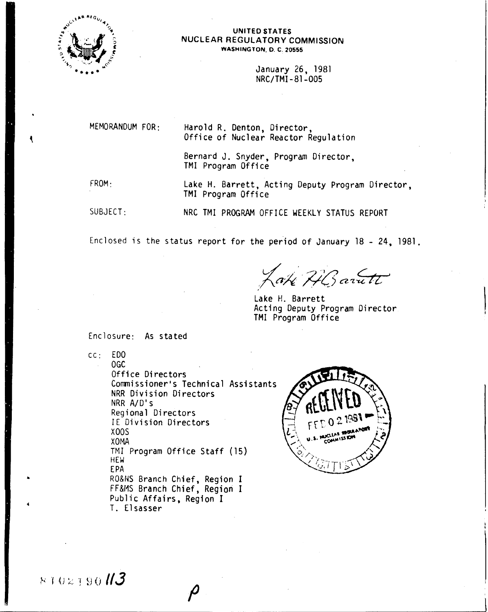

#### UNITED STATES NUCLEAR REGULATORY COMMISSION WASHINGTON, O. C. 20555

January 26. 1981 NRC/TMI-81-005

MEMORANDUM FOR: FROM: SUBJECT : Harold R. Denton. Director. Office of Nuclear Reactor Regulation Bernard J. Snyder, Program Director. TMI Program Office Lake H. Barrett, Acting Deputy Program Director. TMI Program Office NRC TMI PROGRAM OFFICE WEEKLY STATUS REPORT

Enclosed is the status report for the period of January 18 - 24, 1981.

*.x;,X;;;(J m£:tz '*

Lake H. Barrett Acting Deputy Program Director TMI Program Office

Enclosure: As stated

T. Elsasser

cc: EDO

OGC Office Directors Commissioner's Technical Assistants NRR Division Directors NRR A/D's Regional Directors IE Division Directors XOOS X<sub>O</sub>MA TMI Program Office Staff (15) HEW EPA RO&NS Branch Chief. Region I FF&MS Branch Chief. Region I Public Affairs. Region I



 $8102190$   $13$ 

..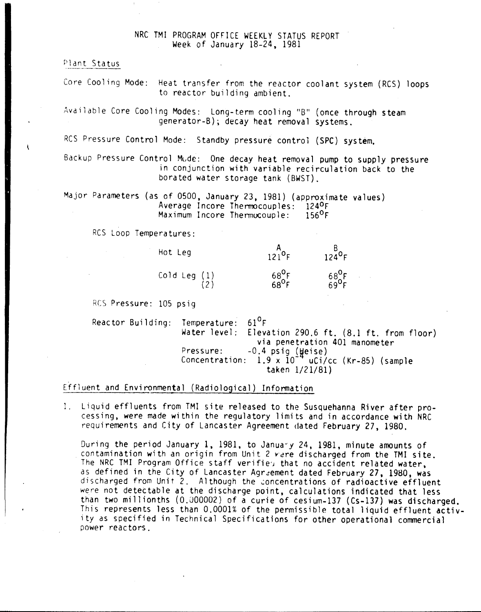## NRC TMI PROGRAM OFFICE WEEKLY STATUS REPORT Week of January 18-24, 1981

Plant Status

Core Cooling Mode: Heat transfer from the reactor coolant system (RCS) loops to reactor building ambient.

Available Core Cooling Modes: Long-term cooling "B" (once through steam generator-B); decay heat removal systems.

RCS Pressure Control Mode: Standby pressure control (SPC) system.

Backup Pressure Control Mode: One decay heat removal pump to supply pressure in conjunction with variable recirculation back to the borated water storage tank (BWST).

Major Parameters (as of 0500, January 23. 1981) (approximate values) Average Incore Thermocouples: 124<sup>0</sup>F<br>Maximum Incore Thermocouple: 156<sup>0</sup>F Maximum Incore Thermocouple:

RCS Loop Temperatures:

| Hot Leg        | $12^{10}F$                                                | $124^\circ F$                   |
|----------------|-----------------------------------------------------------|---------------------------------|
| Cold Leg $(1)$ | $\begin{array}{c} 68^{\circ}F \\ 68^{\circ}F \end{array}$ | $68^{0}$ F<br>69 <sup>0</sup> F |

RCS Pressure: 105 psig

Reactor Building: Temperature:<br>Water level:  $61^{\circ}$ F Elevation 290.6 ft.  $(8.1 \text{ ft. from floor})$ via penetration 401 manometer Pressure: -0.4 psig (Heise) Concentration: 1.9 x 10<sup>-4</sup> uCi/cc (Kr-85) (sample taken *1/21/81)*

## Effluent and Environmental (Radiological) Information

1. Liquid effluents from TMI site released to the Susquehanna River after processing, were made within the regulatory limits and in accordance with NRC requirements and City of Lancaster Agreement dated February 27,1980.

During the period January 1, 1981, to January 24, 1981, minute amounts of contamination with an origin from Unit 2 vere discharged from the TMI site. The NRC TMI Program Office staff verifies that no accident related water, as defined in the City of Lancaster Agreement dated February 27, 1980. was discharged from Unit 2. Although the concentrations of radioactive effluent were not detectable at the discharge point, calculations indicated that less than two millionths (0.000002) of a curie of cesium-137 (Cs-137) was discharged. This represents less than 0.0001% of the permissible total liquid effluent activity as specified in Technical Specifications for other operational commercial power reactors.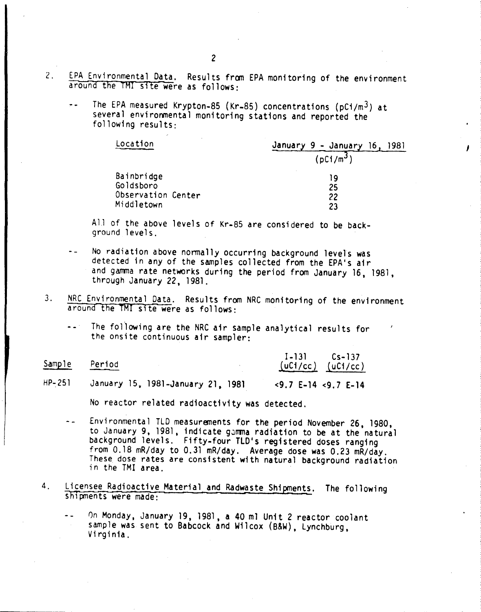- 2. EPA Environmental Data. Results from EPA monitoring of the environment around the TMI site were as follows:
	- The EPA measured Krypton-8S (Kr-8S) concentrations (pCi/m3) at  $\bullet$   $\bullet$ several environmental monitoring stations and reported the following results:

| Location           | January 9 - January 16.<br>1981 |  |
|--------------------|---------------------------------|--|
|                    | (pC1/m <sup>3</sup> )           |  |
| Bainbridge         | 19                              |  |
| Goldsboro          | 25                              |  |
| Observation Center | 22                              |  |
| Middletown         | 23                              |  |

*J*

All of the above levels of Kr-85 are considered to be background levels.

- No radiation above normally occurring background levels was detected in any of the samples collected from the EPA's air and gamma rate networks during the period from January 16, 1981, through January 22, 1981.
- 3. NRC Environmental Data. Results from NRC monitoring of the environment arouna the TMI site were as follows:
	- The following are the NRC air sample analytical results for  $\sim$   $\sim$   $^{11}$ the onsite continuous air sampler:

| <u>Sample</u> | Period                            | $I-131$ $Cs-137$<br>$(uC1/cc)$ $(uC1/cc)$   |
|---------------|-----------------------------------|---------------------------------------------|
| $HP - 251$    | January 15, 1981-January 21, 1981 | $\langle 9.7 E-14 \langle 9.7 E-14 \rangle$ |

No reactor related radioactivity was detected.

- Environmental TLD measurements for the period November 26, 1980, to January 9, 1981, indicate gamma radiation to be at the natural background levels. Fifty-four TLD's registered doses ranging from 0.18 mR/day to 0.31 mR/day. Average dose was 0.23 mR/day. These dose rates are consistent with natural background radiation in the TMI area.
- 4. Licensee Radioactive Material and Radwaste Shipments. The following shipments were made:
	- On Monday, January 19, 1981, a 40 m1 Unit 2 reactor coolant sample was sent to Babcock and Wilcox (B&W), Lynchburg, Virginia.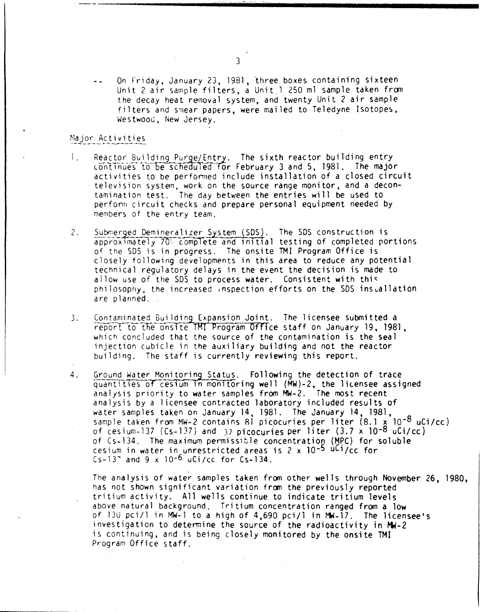On Friday, January 23, 1981, three boxes containing sixteen Unit 2 air sample filters, a Unit 1 250 ml sample taken from the decay heat removal system, and twenty Unit 2 air sample filters and smear papers, were mailed to Teledyne Isotopes, Westwood, New Jersey.

### Major Activities

- Reactor Building Purge/Entry. The sixth reactor building entry  $\mathbf{L}$ continues to be scheduled for February 3 and 5, 1981. The major activities to be performed include installation of a closed circuit television system, work on the source range monitor, and a decontamination test. The day between the entries will be used to perform circuit checks and prepare personal equipment needed by members of the entry team.
- Submerged Demineralizer System (SDS). The SDS construction is  $2.$ approximately 70% complete and initial testing of completed portions of the SDS is in progress. The onsite TMI Program Office is closely following developments in this area to reduce any potential technical regulatory delays in the event the decision is made to allow use of the SDS to process water. Consistent with this philosophy, the increased inspection efforts on the SDS installation are planned.
- Contaminated Building Expansion Joint. The licensee submitted a  $3.$ report to the onsite TMI Program Office staff on January 19, 1981, which concluded that the source of the contamination is the seal injection cubicle in the auxiliary building and not the reactor building. The staff is currently reviewing this report.
- Ground Water Monitoring Status. Following the detection of trace 4. quantities of cesium in monitoring well (MW)-2, the licensee assigned analysis priority to water samples from MW-2. The most recent analysis by a licensee contracted laboratory included results of water samples taken on January 14, 1981. The January 14, 1981, sample taken from MW-2 contains 81 picocuries per liter (8.1 x 10<sup>-8</sup> uCi/cc) of cesium-137 (Cs-137) and 37 picocuries per liter  $(3.7 \times 10^{-8} \text{ uCi/cc})$ of Cs-134. The maximum permissible concentration (MPC) for soluble cesium in water in unrestricted areas is 2 x 10<sup>-5</sup> uCi/cc for Cs-13" and 9 x 10<sup>-6</sup> uCi/cc for Cs-134.

The analysis of water samples taken from other wells through November 26, 1980, has not shown significant variation from the previously reported tritium activity. All wells continue to indicate tritium levels above natural background. Tritium concentration ranged from a low of 130 pci/1 in MW-1 to a high of 4,690 pci/1 in MW-17. The licensee's investigation to determine the source of the radioactivity in MW-2 is continuing, and is being closely monitored by the onsite TMI Program Office staff.

3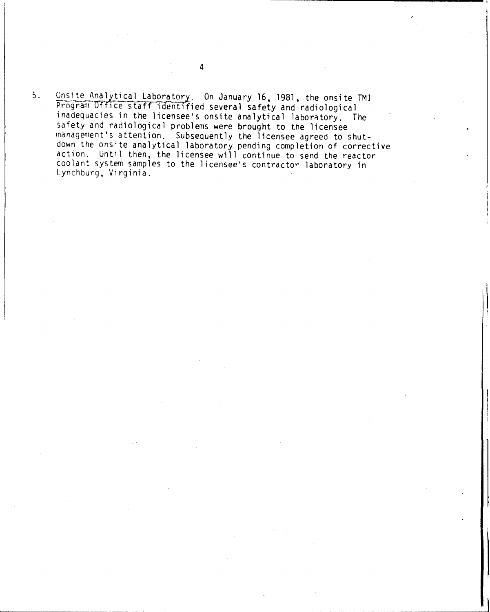5. Onsite Analytical Laboratory. On January 16. 1981. the onsite TMI Program Office staff identified several safety and radiological inadequacies in the licensee's onsite analytical laboratory. The safety and radiological problems were brought to the licensee management's attention. Subsequently the licensee agreed to shutdown the onsite analytical laboratory pending completion of corrective action. Until then, the licensee will continue to send the reactor coolant system samples to the licensee's contractor laboratory in Lynchburg. Virginia.

4